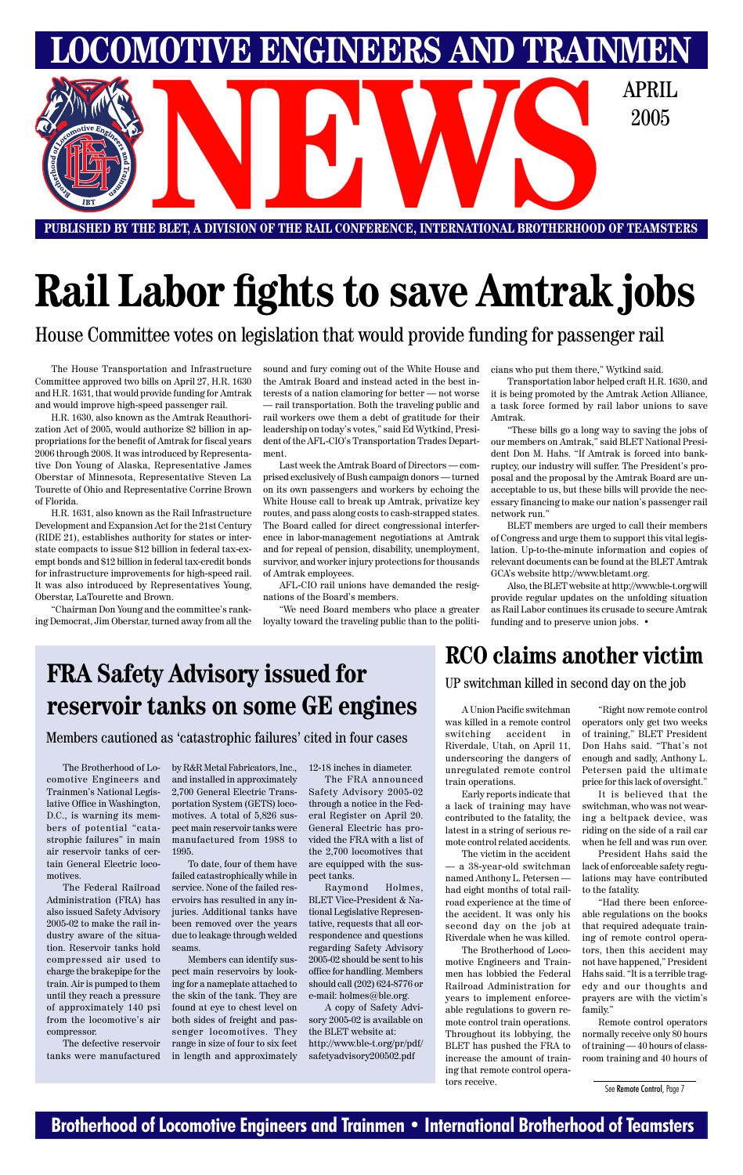#### **Brotherhood of Locomotive Engineers and Trainmen • International Brotherhood of Teamsters**

**LOMOTIVE ENGINEERS AND TRAINMEN** E BLET, A DIVISION OF THE RAIL CONFERENCE, INTERNATIONAL BROTHERHOOD OF TEAMSTI 2005

**PUBLISHED BY THE BLET, A DIVISION OF THE RAIL CONFERENCE, INTERNATIONAL BROTHERHOOD OF TEAMSTERS**

# **Rail Labor fights to save Amtrak jobs**

The House Transportation and Infrastructure Committee approved two bills on April 27, H.R. 1630 and H.R. 1631, that would provide funding for Amtrak and would improve high-speed passenger rail.

H.R. 1630, also known as the Amtrak Reauthorization Act of 2005, would authorize \$2 billion in appropriations for the benefit of Amtrak for fiscal years 2006 through 2008. It was introduced by Representative Don Young of Alaska, Representative James Oberstar of Minnesota, Representative Steven La Tourette of Ohio and Representative Corrine Brown of Florida.

H.R. 1631, also known as the Rail Infrastructure Development and Expansion Act for the 21st Century (RIDE 21), establishes authority for states or interstate compacts to issue \$12 billion in federal tax-exempt bonds and \$12 billion in federal tax-credit bonds for infrastructure improvements for high-speed rail. It was also introduced by Representatives Young, Oberstar, LaTourette and Brown.

"Chairman Don Young and the committee's ranking Democrat, Jim Oberstar, turned away from all the

sound and fury coming out of the White House and the Amtrak Board and instead acted in the best interests of a nation clamoring for better — not worse — rail transportation. Both the traveling public and rail workers owe them a debt of gratitude for their leadership on today's votes," said Ed Wytkind, President of the AFL-CIO's Transportation Trades Department.

Last week the Amtrak Board of Directors — comprised exclusively of Bush campaign donors — turned on its own passengers and workers by echoing the White House call to break up Amtrak, privatize key routes, and pass along costs to cash-strapped states. The Board called for direct congressional interference in labor-management negotiations at Amtrak and for repeal of pension, disability, unemployment, survivor, and worker injury protections for thousands of Amtrak employees.

AFL-CIO rail unions have demanded the resignations of the Board's members.

"We need Board members who place a greater loyalty toward the traveling public than to the politi-

House Committee votes on legislation that would provide funding for passenger rail

cians who put them there," Wytkind said.

Transportation labor helped craft H.R. 1630, and it is being promoted by the Amtrak Action Alliance, a task force formed by rail labor unions to save Amtrak.

"These bills go a long way to saving the jobs of our members on Amtrak," said BLET National President Don M. Hahs. "If Amtrak is forced into bankruptcy, our industry will suffer. The President's proposal and the proposal by the Amtrak Board are unacceptable to us, but these bills will provide the necessary financing to make our nation's passenger rail network run."

BLET members are urged to call their members of Congress and urge them to support this vital legislation. Up-to-the-minute information and copies of relevant documents can be found at the BLET Amtrak GCA's website http://www.bletamt.org.

Also, the BLET website at http://www.ble-t.org will provide regular updates on the unfolding situation as Rail Labor continues its crusade to secure Amtrak funding and to preserve union jobs. •

The Brotherhood of Locomotive Engineers and Trainmen's National Legislative Office in Washington, D.C., is warning its members of potential "catastrophic failures" in main air reservoir tanks of certain General Electric locomotives. The Federal Railroad Administration (FRA) has also issued Safety Advisory 2005-02 to make the rail industry aware of the situation. Reservoir tanks hold compressed air used to charge the brakepipe for the train. Air is pumped to them until they reach a pressure of approximately 140 psi from the locomotive's air compressor.

The defective reservoir tanks were manufactured by R&R Metal Fabricators, Inc., and installed in approximately 2,700 General Electric Transportation System (GETS) locomotives. A total of 5,826 suspect main reservoir tanks were manufactured from 1988 to 1995.

To date, four of them have failed catastrophically while in service. None of the failed reservoirs has resulted in any injuries. Additional tanks have been removed over the years due to leakage through welded seams.

Members can identify suspect main reservoirs by looking for a nameplate attached to the skin of the tank. They are found at eye to chest level on both sides of freight and passenger locomotives. They range in size of four to six feet in length and approximately

12-18 inches in diameter.

The FRA announced Safety Advisory 2005-02 through a notice in the Federal Register on April 20. General Electric has provided the FRA with a list of the 2,700 locomotives that are equipped with the suspect tanks. Raymond Holmes, BLET Vice-President & National Legislative Representative, requests that all correspondence and questions regarding Safety Advisory 2005-02 should be sent to his office for handling. Members should call (202) 624-8776 or e-mail: holmes@ble.org. A copy of Safety Advisory 2005-02 is available on the BLET website at: http://www.ble-t.org/pr/pdf/ safetyadvisory200502.pdf

## **FRA Safety Advisory issued for reservoir tanks on some GE engines**

#### Members cautioned as 'catastrophic failures' cited in four cases

A Union Pacific switchman was killed in a remote control switching accident in Riverdale, Utah, on April 11, underscoring the dangers of unregulated remote control train operations.

Early reports indicate that a lack of training may have contributed to the fatality, the latest in a string of serious remote control related accidents.

The victim in the accident

— a 38-year-old switchman named Anthony L. Petersen had eight months of total railroad experience at the time of the accident. It was only his second day on the job at Riverdale when he was killed.

The Brotherhood of Locomotive Engineers and Trainmen has lobbied the Federal Railroad Administration for years to implement enforceable regulations to govern remote control train operations. Throughout its lobbying, the BLET has pushed the FRA to increase the amount of training that remote control operators receive.

"Right now remote control operators only get two weeks of training," BLET President Don Hahs said. "That's not enough and sadly, Anthony L. Petersen paid the ultimate price for this lack of oversight."

It is believed that the switchman, who was not wearing a beltpack device, was riding on the side of a rail car when he fell and was run over.

President Hahs said the lack of enforceable safety regulations may have contributed to the fatality.

"Had there been enforceable regulations on the books that required adequate training of remote control operators, then this accident may not have happened," President Hahs said. "It is a terrible tragedy and our thoughts and prayers are with the victim's family."

Remote control operators normally receive only 80 hours of training — 40 hours of classroom training and 40 hours of

#### **RCO claims another victim**

See Remote Control, Page 7

UP switchman killed in second day on the job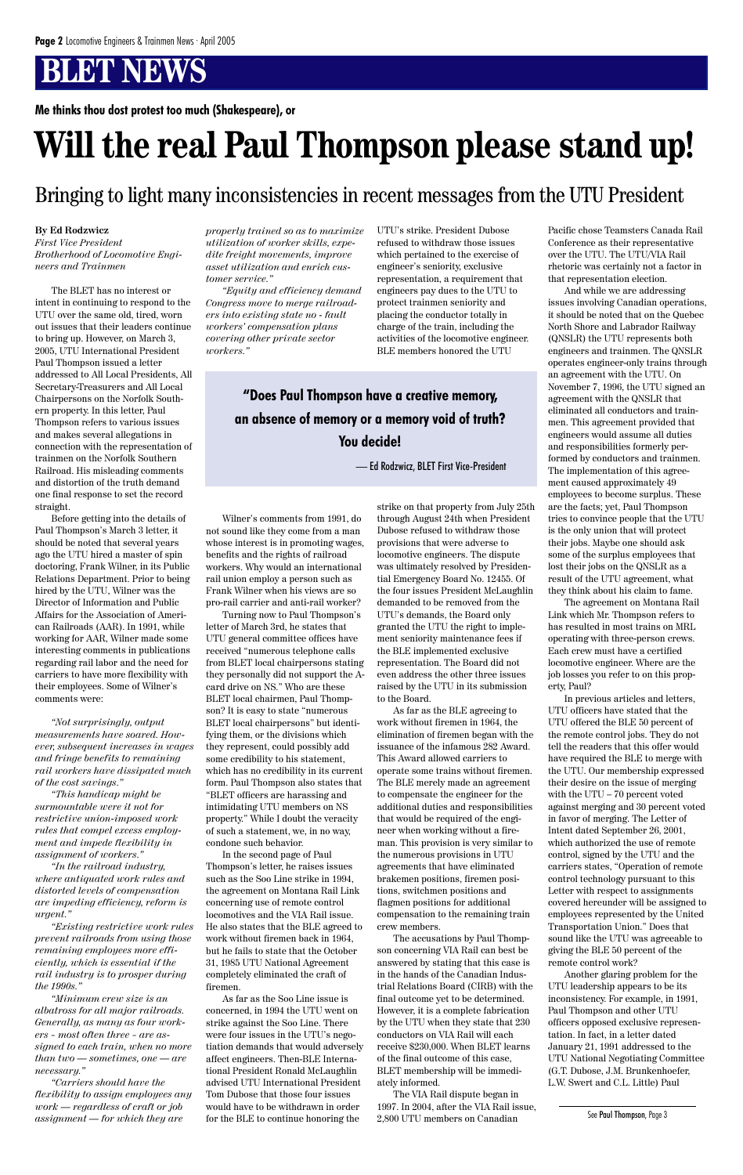#### **By Ed Rodzwicz**

*First Vice President Brotherhood of Locomotive Engineers and Trainmen*

The BLET has no interest or intent in continuing to respond to the UTU over the same old, tired, worn out issues that their leaders continue to bring up. However, on March 3, 2005, UTU International President Paul Thompson issued a letter addressed to All Local Presidents, All Secretary-Treasurers and All Local Chairpersons on the Norfolk Southern property. In this letter, Paul Thompson refers to various issues and makes several allegations in connection with the representation of trainmen on the Norfolk Southern Railroad. His misleading comments and distortion of the truth demand one final response to set the record straight.

Before getting into the details of Paul Thompson's March 3 letter, it should be noted that several years ago the UTU hired a master of spin doctoring, Frank Wilner, in its Public Relations Department. Prior to being hired by the UTU, Wilner was the Director of Information and Public Affairs for the Association of American Railroads (AAR). In 1991, while working for AAR, Wilner made some interesting comments in publications regarding rail labor and the need for carriers to have more flexibility with their employees. Some of Wilner's comments were:

*"Not surprisingly, output measurements have soared. However, subsequent increases in wages and fringe benefits to remaining rail workers have dissipated much of the cost savings."*

*"This handicap might be surmountable were it not for restrictive union-imposed work rules that compel excess employment and impede flexibility in assignment of workers." "In the railroad industry, where antiquated work rules and distorted levels of compensation are impeding efficiency, reform is urgent."*

*"Existing restrictive work rules prevent railroads from using those remaining employees more efficiently, which is essential if the rail industry is to prosper during the 1990s."*

*"Minimum crew size is an albatross for all major railroads. Generally, as many as four workers – most often three – are assigned to each train, when no more than two — sometimes, one — are necessary."*

*"Carriers should have the flexibility to assign employees any work — regardless of craft or job assignment — for which they are*

*properly trained so as to maximize utilization of worker skills, expedite freight movements, improve asset utilization and enrich customer service."*

*"Equity and efficiency demand Congress move to merge railroaders into existing state no - fault workers' compensation plans covering other private sector workers."*

Wilner's comments from 1991, do not sound like they come from a man whose interest is in promoting wages, benefits and the rights of railroad workers. Why would an international rail union employ a person such as Frank Wilner when his views are so pro-rail carrier and anti-rail worker?

Turning now to Paul Thompson's letter of March 3rd, he states that UTU general committee offices have received "numerous telephone calls from BLET local chairpersons stating they personally did not support the Acard drive on NS." Who are these BLET local chairmen, Paul Thompson? It is easy to state "numerous BLET local chairpersons" but identifying them, or the divisions which they represent, could possibly add some credibility to his statement, which has no credibility in its current form. Paul Thompson also states that "BLET officers are harassing and intimidating UTU members on NS property." While I doubt the veracity of such a statement, we, in no way, condone such behavior.

In the second page of Paul Thompson's letter, he raises issues such as the Soo Line strike in 1994, the agreement on Montana Rail Link concerning use of remote control locomotives and the VIA Rail issue. He also states that the BLE agreed to work without firemen back in 1964, but he fails to state that the October 31, 1985 UTU National Agreement completely eliminated the craft of firemen. As far as the Soo Line issue is concerned, in 1994 the UTU went on strike against the Soo Line. There were four issues in the UTU's negotiation demands that would adversely affect engineers. Then-BLE International President Ronald McLaughlin advised UTU International President Tom Dubose that those four issues would have to be withdrawn in order for the BLE to continue honoring the

UTU's strike. President Dubose refused to withdraw those issues which pertained to the exercise of engineer's seniority, exclusive representation, a requirement that engineers pay dues to the UTU to protect trainmen seniority and placing the conductor totally in charge of the train, including the activities of the locomotive engineer. BLE members honored the UTU

strike on that property from July 25th through August 24th when President Dubose refused to withdraw those provisions that were adverse to locomotive engineers. The dispute was ultimately resolved by Presidential Emergency Board No. 12455. Of the four issues President McLaughlin demanded to be removed from the UTU's demands, the Board only granted the UTU the right to implement seniority maintenance fees if the BLE implemented exclusive representation. The Board did not even address the other three issues raised by the UTU in its submission to the Board.

As far as the BLE agreeing to work without firemen in 1964, the elimination of firemen began with the issuance of the infamous 282 Award. This Award allowed carriers to operate some trains without firemen. The BLE merely made an agreement to compensate the engineer for the additional duties and responsibilities that would be required of the engineer when working without a fireman. This provision is very similar to the numerous provisions in UTU agreements that have eliminated brakemen positions, firemen positions, switchmen positions and flagmen positions for additional compensation to the remaining train crew members. The accusations by Paul Thompson concerning VIA Rail can best be answered by stating that this case is in the hands of the Canadian Industrial Relations Board (CIRB) with the final outcome yet to be determined. However, it is a complete fabrication by the UTU when they state that 230 conductors on VIA Rail will each receive \$230,000. When BLET learns of the final outcome of this case, BLET membership will be immediately informed.

The VIA Rail dispute began in 1997. In 2004, after the VIA Rail issue, 2,800 UTU members on Canadian

Pacific chose Teamsters Canada Rail Conference as their representative over the UTU. The UTU/VIA Rail rhetoric was certainly not a factor in that representation election.

And while we are addressing issues involving Canadian operations, it should be noted that on the Quebec North Shore and Labrador Railway (QNSLR) the UTU represents both engineers and trainmen. The QNSLR operates engineer-only trains through an agreement with the UTU. On November 7, 1996, the UTU signed an agreement with the QNSLR that eliminated all conductors and trainmen. This agreement provided that engineers would assume all duties and responsibilities formerly performed by conductors and trainmen. The implementation of this agreement caused approximately 49 employees to become surplus. These are the facts; yet, Paul Thompson tries to convince people that the UTU is the only union that will protect their jobs. Maybe one should ask some of the surplus employees that lost their jobs on the QNSLR as a result of the UTU agreement, what they think about his claim to fame.

The agreement on Montana Rail Link which Mr. Thompson refers to has resulted in most trains on MRL operating with three-person crews. Each crew must have a certified locomotive engineer. Where are the job losses you refer to on this property, Paul?

In previous articles and letters, UTU officers have stated that the UTU offered the BLE 50 percent of the remote control jobs. They do not tell the readers that this offer would have required the BLE to merge with the UTU. Our membership expressed their desire on the issue of merging with the UTU – 70 percent voted against merging and 30 percent voted in favor of merging. The Letter of Intent dated September 26, 2001, which authorized the use of remote control, signed by the UTU and the carriers states, "Operation of remote control technology pursuant to this Letter with respect to assignments covered hereunder will be assigned to employees represented by the United Transportation Union." Does that sound like the UTU was agreeable to giving the BLE 50 percent of the remote control work? Another glaring problem for the UTU leadership appears to be its inconsistency. For example, in 1991, Paul Thompson and other UTU officers opposed exclusive representation. In fact, in a letter dated January 21, 1991 addressed to the UTU National Negotiating Committee (G.T. Dubose, J.M. Brunkenhoefer, L.W. Swert and C.L. Little) Paul

# **Will the real Paul Thompson please stand up!**

**Me thinks thou dost protest too much (Shakespeare), or**

#### Bringing to light many inconsistencies in recent messages from the UTU President

#### **"Does Paul Thompson have a creative memory, an absence of memory or a memory void of truth? You decide!**

— Ed Rodzwicz, BLET First Vice-President

See Paul Thompson, Page 3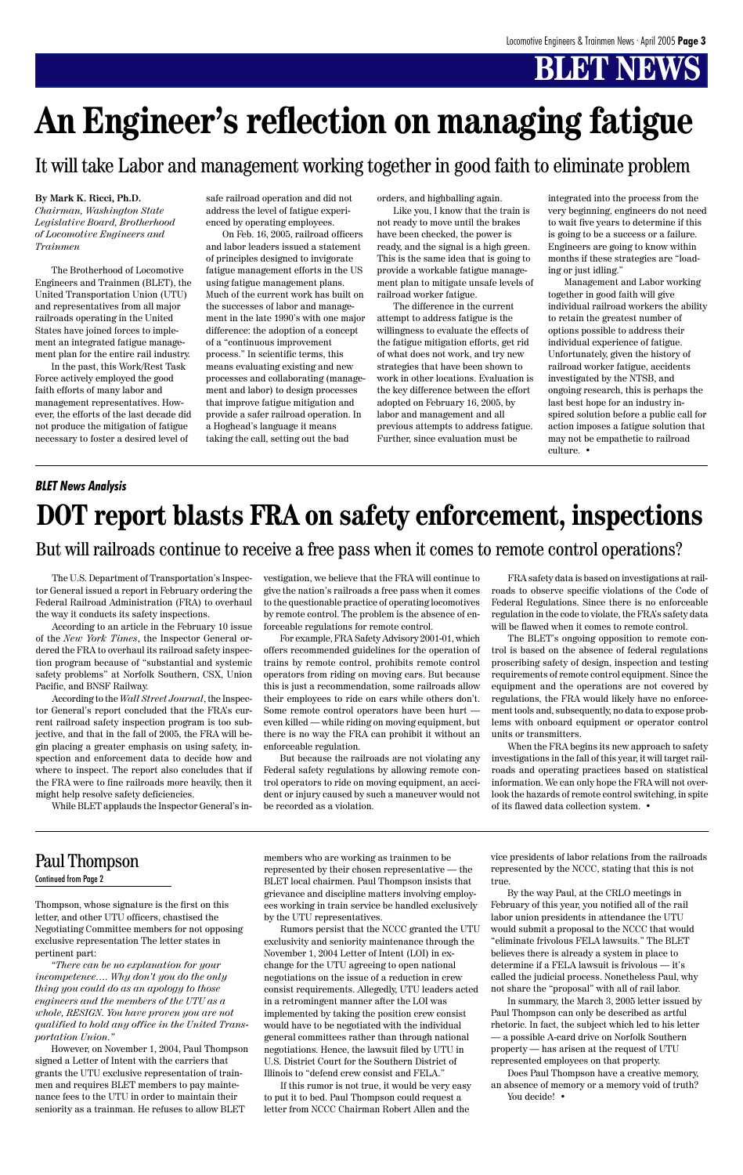Thompson, whose signature is the first on this letter, and other UTU officers, chastised the Negotiating Committee members for not opposing exclusive representation The letter states in pertinent part:

*"There can be no explanation for your incompetence…. Why don't you do the only thing you could do as an apology to those engineers and the members of the UTU as a whole, RESIGN. You have proven you are not qualified to hold any office in the United Transportation Union."*

However, on November 1, 2004, Paul Thompson signed a Letter of Intent with the carriers that grants the UTU exclusive representation of trainmen and requires BLET members to pay maintenance fees to the UTU in order to maintain their seniority as a trainman. He refuses to allow BLET

#### Continued from Page 2

represented by their chosen representative — the BLET local chairmen. Paul Thompson insists that grievance and discipline matters involving employees working in train service be handled exclusively by the UTU representatives.

> Does Paul Thompson have a creative memory, an absence of memory or a memory void of truth? You decide! •

Rumors persist that the NCCC granted the UTU exclusivity and seniority maintenance through the November 1, 2004 Letter of Intent (LOI) in exchange for the UTU agreeing to open national negotiations on the issue of a reduction in crew consist requirements. Allegedly, UTU leaders acted in a retromingent manner after the LOI was implemented by taking the position crew consist would have to be negotiated with the individual general committees rather than through national negotiations. Hence, the lawsuit filed by UTU in U.S. District Court for the Southern District of Illinois to "defend crew consist and FELA."

If this rumor is not true, it would be very easy to put it to bed. Paul Thompson could request a letter from NCCC Chairman Robert Allen and the

represented by the NCCC, stating that this is not true.

By the way Paul, at the CRLO meetings in February of this year, you notified all of the rail labor union presidents in attendance the UTU would submit a proposal to the NCCC that would "eliminate frivolous FELA lawsuits." The BLET believes there is already a system in place to determine if a FELA lawsuit is frivolous — it's called the judicial process. Nonetheless Paul, why not share the "proposal" with all of rail labor.

In summary, the March 3, 2005 letter issued by Paul Thompson can only be described as artful rhetoric. In fact, the subject which led to his letter — a possible A-card drive on Norfolk Southern property — has arisen at the request of UTU represented employees on that property.

#### **By Mark K. Ricci, Ph.D.**

*Chairman, Washington State Legislative Board, Brotherhood of Locomotive Engineers and Trainmen*

The Brotherhood of Locomotive Engineers and Trainmen (BLET), the United Transportation Union (UTU) and representatives from all major railroads operating in the United States have joined forces to implement an integrated fatigue management plan for the entire rail industry.

In the past, this Work/Rest Task Force actively employed the good faith efforts of many labor and management representatives. However, the efforts of the last decade did not produce the mitigation of fatigue necessary to foster a desired level of

safe railroad operation and did not address the level of fatigue experienced by operating employees.

On Feb. 16, 2005, railroad officers and labor leaders issued a statement of principles designed to invigorate fatigue management efforts in the US using fatigue management plans. Much of the current work has built on the successes of labor and management in the late 1990's with one major difference: the adoption of a concept of a "continuous improvement process." In scientific terms, this means evaluating existing and new processes and collaborating (management and labor) to design processes that improve fatigue mitigation and provide a safer railroad operation. In a Hoghead's language it means taking the call, setting out the bad

orders, and highballing again.

Like you, I know that the train is not ready to move until the brakes have been checked, the power is ready, and the signal is a high green. This is the same idea that is going to provide a workable fatigue management plan to mitigate unsafe levels of railroad worker fatigue.

The difference in the current attempt to address fatigue is the willingness to evaluate the effects of the fatigue mitigation efforts, get rid of what does not work, and try new strategies that have been shown to work in other locations. Evaluation is the key difference between the effort adopted on February 16, 2005, by labor and management and all previous attempts to address fatigue. Further, since evaluation must be

integrated into the process from the very beginning, engineers do not need to wait five years to determine if this is going to be a success or a failure. Engineers are going to know within months if these strategies are "loading or just idling."

Management and Labor working together in good faith will give individual railroad workers the ability to retain the greatest number of options possible to address their individual experience of fatigue. Unfortunately, given the history of railroad worker fatigue, accidents investigated by the NTSB, and ongoing research, this is perhaps the last best hope for an industry inspired solution before a public call for action imposes a fatigue solution that may not be empathetic to railroad culture. •

# **An Engineer's reflection on managing fatigue**

### It will take Labor and management working together in good faith to eliminate problem

The U.S. Department of Transportation's Inspector General issued a report in February ordering the Federal Railroad Administration (FRA) to overhaul the way it conducts its safety inspections.

According to an article in the February 10 issue of the *New York Times*, the Inspector General ordered the FRA to overhaul its railroad safety inspection program because of "substantial and systemic safety problems" at Norfolk Southern, CSX, Union Pacific, and BNSF Railway.

According to the *Wall Street Journal*, the Inspector General's report concluded that the FRA's current railroad safety inspection program is too subjective, and that in the fall of 2005, the FRA will begin placing a greater emphasis on using safety, inspection and enforcement data to decide how and where to inspect. The report also concludes that if the FRA were to fine railroads more heavily, then it might help resolve safety deficiencies.

While BLET applauds the Inspector General's in-

vestigation, we believe that the FRA will continue to give the nation's railroads a free pass when it comes to the questionable practice of operating locomotives by remote control. The problem is the absence of enforceable regulations for remote control.

For example, FRA Safety Advisory 2001-01, which offers recommended guidelines for the operation of trains by remote control, prohibits remote control operators from riding on moving cars. But because this is just a recommendation, some railroads allow their employees to ride on cars while others don't. Some remote control operators have been hurt even killed — while riding on moving equipment, but there is no way the FRA can prohibit it without an enforceable regulation.

But because the railroads are not violating any Federal safety regulations by allowing remote control operators to ride on moving equipment, an accident or injury caused by such a maneuver would not be recorded as a violation.

FRA safety data is based on investigations at railroads to observe specific violations of the Code of Federal Regulations. Since there is no enforceable regulation in the code to violate, the FRA's safety data will be flawed when it comes to remote control.

The BLET's ongoing opposition to remote control is based on the absence of federal regulations proscribing safety of design, inspection and testing requirements of remote control equipment. Since the equipment and the operations are not covered by regulations, the FRA would likely have no enforcement tools and, subsequently, no data to expose problems with onboard equipment or operator control units or transmitters.

When the FRA begins its new approach to safety investigations in the fall of this year, it will target railroads and operating practices based on statistical information. We can only hope the FRA will not overlook the hazards of remote control switching, in spite of its flawed data collection system. •

# **DOT report blasts FRA on safety enforcement, inspections**

#### *BLET News Analysis*

#### But will railroads continue to receive a free pass when it comes to remote control operations?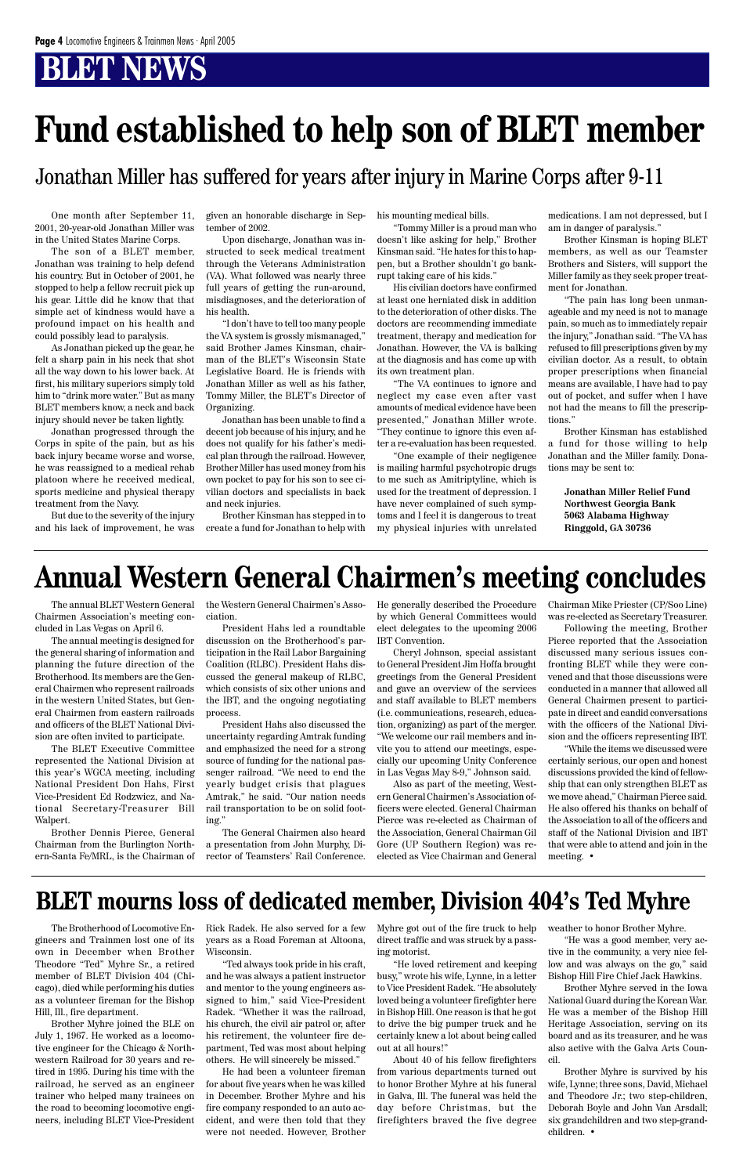The annual BLET Western General Chairmen Association's meeting concluded in Las Vegas on April 6.

The annual meeting is designed for the general sharing of information and planning the future direction of the Brotherhood. Its members are the General Chairmen who represent railroads in the western United States, but General Chairmen from eastern railroads and officers of the BLET National Division are often invited to participate.

The BLET Executive Committee represented the National Division at this year's WGCA meeting, including National President Don Hahs, First Vice-President Ed Rodzwicz, and National Secretary-Treasurer Bill Walpert.

Brother Dennis Pierce, General Chairman from the Burlington Northern-Santa Fe/MRL, is the Chairman of the Western General Chairmen's Association.

President Hahs led a roundtable discussion on the Brotherhood's participation in the Rail Labor Bargaining Coalition (RLBC). President Hahs discussed the general makeup of RLBC, which consists of six other unions and the IBT, and the ongoing negotiating process.

President Hahs also discussed the uncertainty regarding Amtrak funding and emphasized the need for a strong source of funding for the national passenger railroad. "We need to end the yearly budget crisis that plagues Amtrak," he said. "Our nation needs rail transportation to be on solid footing."

The General Chairmen also heard a presentation from John Murphy, Director of Teamsters' Rail Conference.

He generally described the Procedure by which General Committees would elect delegates to the upcoming 2006 IBT Convention.

Cheryl Johnson, special assistant to General President Jim Hoffa brought greetings from the General President and gave an overview of the services and staff available to BLET members (i.e. communications, research, education, organizing) as part of the merger. "We welcome our rail members and invite you to attend our meetings, especially our upcoming Unity Conference in Las Vegas May 8-9," Johnson said.

Also as part of the meeting, Western General Chairmen's Association officers were elected. General Chairman Pierce was re-elected as Chairman of the Association, General Chairman Gil Gore (UP Southern Region) was reelected as Vice Chairman and General Chairman Mike Priester (CP/Soo Line) was re-elected as Secretary Treasurer.

Following the meeting, Brother Pierce reported that the Association discussed many serious issues confronting BLET while they were convened and that those discussions were conducted in a manner that allowed all General Chairmen present to participate in direct and candid conversations with the officers of the National Division and the officers representing IBT.

"While the items we discussed were certainly serious, our open and honest discussions provided the kind of fellowship that can only strengthen BLET as we move ahead," Chairman Pierce said. He also offered his thanks on behalf of the Association to all of the officers and staff of the National Division and IBT that were able to attend and join in the meeting. •

# **Annual Western General Chairmen's meeting concludes**

One month after September 11, 2001, 20-year-old Jonathan Miller was in the United States Marine Corps.

The son of a BLET member, Jonathan was training to help defend his country. But in October of 2001, he stopped to help a fellow recruit pick up his gear. Little did he know that that simple act of kindness would have a profound impact on his health and could possibly lead to paralysis.

As Jonathan picked up the gear, he felt a sharp pain in his neck that shot all the way down to his lower back. At first, his military superiors simply told him to "drink more water." But as many BLET members know, a neck and back injury should never be taken lightly.

Jonathan progressed through the Corps in spite of the pain, but as his back injury became worse and worse, he was reassigned to a medical rehab platoon where he received medical, sports medicine and physical therapy treatment from the Navy.

But due to the severity of the injury and his lack of improvement, he was given an honorable discharge in September of 2002.

Upon discharge, Jonathan was instructed to seek medical treatment through the Veterans Administration (VA). What followed was nearly three full years of getting the run-around, misdiagnoses, and the deterioration of his health.

"I don't have to tell too many people the VA system is grossly mismanaged," said Brother James Kinsman, chairman of the BLET's Wisconsin State Legislative Board. He is friends with Jonathan Miller as well as his father, Tommy Miller, the BLET's Director of Organizing.

Jonathan has been unable to find a decent job because of his injury, and he does not qualify for his father's medical plan through the railroad. However, Brother Miller has used money from his own pocket to pay for his son to see civilian doctors and specialists in back and neck injuries.

Brother Kinsman has stepped in to create a fund for Jonathan to help with his mounting medical bills.

"Tommy Miller is a proud man who doesn't like asking for help," Brother Kinsman said. "He hates for this to happen, but a Brother shouldn't go bankrupt taking care of his kids."

His civilian doctors have confirmed at least one herniated disk in addition to the deterioration of other disks. The doctors are recommending immediate treatment, therapy and medication for Jonathan. However, the VA is balking at the diagnosis and has come up with its own treatment plan.

"The VA continues to ignore and neglect my case even after vast amounts of medical evidence have been presented," Jonathan Miller wrote. "They continue to ignore this even after a re-evaluation has been requested.

"One example of their negligence is mailing harmful psychotropic drugs to me such as Amitriptyline, which is used for the treatment of depression. I have never complained of such symptoms and I feel it is dangerous to treat my physical injuries with unrelated medications. I am not depressed, but I am in danger of paralysis."

Brother Kinsman is hoping BLET members, as well as our Teamster Brothers and Sisters, will support the Miller family as they seek proper treatment for Jonathan.

"The pain has long been unmanageable and my need is not to manage pain, so much as to immediately repair the injury," Jonathan said. "The VA has refused to fill prescriptions given by my civilian doctor. As a result, to obtain proper prescriptions when financial means are available, I have had to pay out of pocket, and suffer when I have not had the means to fill the prescriptions."

Brother Kinsman has established a fund for those willing to help Jonathan and the Miller family. Donations may be sent to:

**Jonathan Miller Relief Fund Northwest Georgia Bank 5063 Alabama Highway Ringgold, GA 30736**

# **Fund established to help son of BLET member**

#### Jonathan Miller has suffered for years after injury in Marine Corps after 9-11

The Brotherhood of Locomotive Engineers and Trainmen lost one of its own in December when Brother Theodore "Ted" Myhre Sr., a retired member of BLET Division 404 (Chicago), died while performing his duties as a volunteer fireman for the Bishop Hill, Ill., fire department.

Brother Myhre joined the BLE on July 1, 1967. He worked as a locomotive engineer for the Chicago & Northwestern Railroad for 30 years and retired in 1995. During his time with the railroad, he served as an engineer trainer who helped many trainees on the road to becoming locomotive engineers, including BLET Vice-President Rick Radek. He also served for a few years as a Road Foreman at Altoona, Wisconsin.

"Ted always took pride in his craft, and he was always a patient instructor and mentor to the young engineers assigned to him," said Vice-President Radek. "Whether it was the railroad, his church, the civil air patrol or, after his retirement, the volunteer fire department, Ted was most about helping others. He will sincerely be missed."

He had been a volunteer fireman for about five years when he was killed in December. Brother Myhre and his fire company responded to an auto accident, and were then told that they were not needed. However, Brother Myhre got out of the fire truck to help direct traffic and was struck by a passing motorist.

"He loved retirement and keeping busy," wrote his wife, Lynne, in a letter to Vice President Radek. "He absolutely loved being a volunteer firefighter here in Bishop Hill. One reason is that he got to drive the big pumper truck and he certainly knew a lot about being called out at all hours!"

About 40 of his fellow firefighters from various departments turned out to honor Brother Myhre at his funeral in Galva, Ill. The funeral was held the day before Christmas, but the firefighters braved the five degree weather to honor Brother Myhre.

"He was a good member, very active in the community, a very nice fellow and was always on the go," said Bishop Hill Fire Chief Jack Hawkins.

Brother Myhre served in the Iowa National Guard during the Korean War. He was a member of the Bishop Hill Heritage Association, serving on its board and as its treasurer, and he was also active with the Galva Arts Council.

Brother Myhre is survived by his wife, Lynne; three sons, David, Michael and Theodore Jr.; two step-children, Deborah Boyle and John Van Arsdall; six grandchildren and two step-grandchildren. •

## **BLET mourns loss of dedicated member, Division 404's Ted Myhre**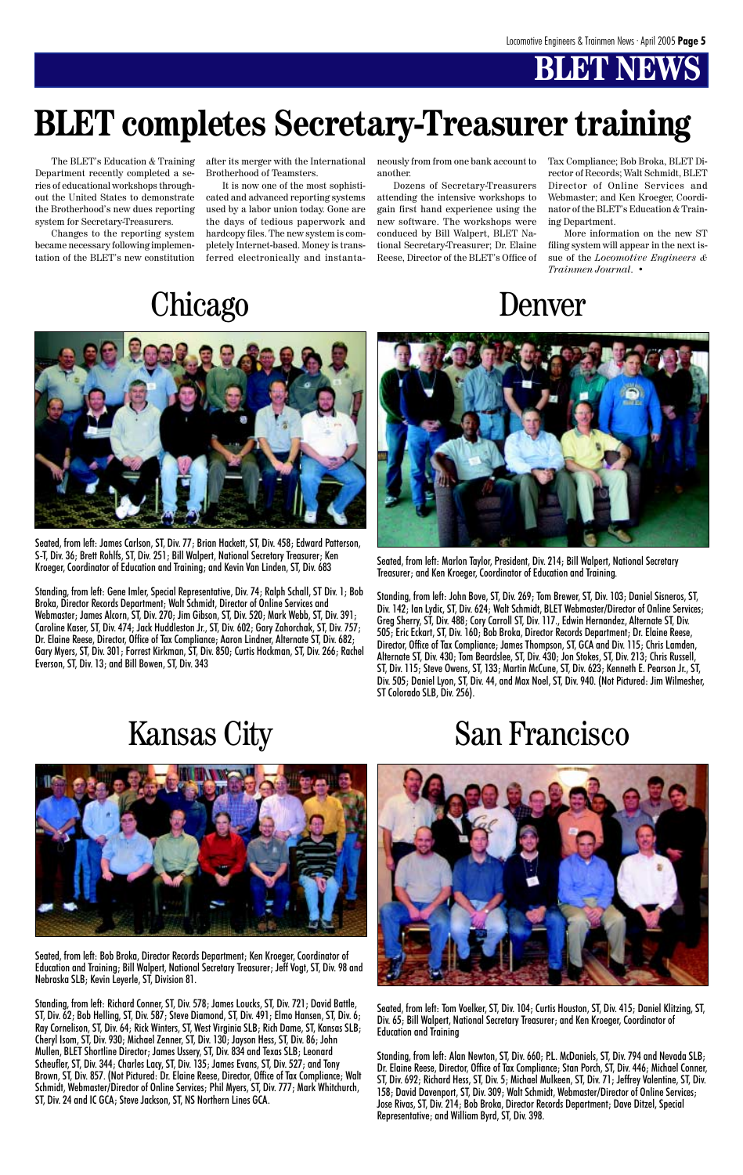Seated, from left: Bob Broka, Director Records Department; Ken Kroeger, Coordinator of Education and Training; Bill Walpert, National Secretary Treasurer; Jeff Vogt, ST, Div. 98 and Nebraska SLB; Kevin Leyerle, ST, Division 81.

Standing, from left: Richard Conner, ST, Div. 578; James Loucks, ST, Div. 721; David Battle, ST, Div. 62; Bob Helling, ST, Div. 587; Steve Diamond, ST, Div. 491; Elmo Hansen, ST, Div. 6; Ray Cornelison, ST, Div. 64; Rick Winters, ST, West Virginia SLB; Rich Dame, ST, Kansas SLB; Cheryl Isom, ST, Div. 930; Michael Zenner, ST, Div. 130; Jayson Hess, ST, Div. 86; John Mullen, BLET Shortline Director; James Ussery, ST, Div. 834 and Texas SLB; Leonard Scheufler, ST, Div. 344; Charles Lacy, ST, Div. 135; James Evans, ST, Div. 527; and Tony Brown, ST, Div. 857. (Not Pictured: Dr. Elaine Reese, Director, Office of Tax Compliance; Walt Schmidt, Webmaster/Director of Online Services; Phil Myers, ST, Div. 777; Mark Whitchurch, ST, Div. 24 and IC GCA; Steve Jackson, ST, NS Northern Lines GCA.



Seated, from left: James Carlson, ST, Div. 77; Brian Hackett, ST, Div. 458; Edward Patterson, S-T, Div. 36; Brett Rohlfs, ST, Div. 251; Bill Walpert, National Secretary Treasurer; Ken Kroeger, Coordinator of Education and Training; and Kevin Van Linden, ST, Div. 683

Standing, from left: Gene Imler, Special Representative, Div. 74; Ralph Schall, ST Div. 1; Bob Broka, Director Records Department; Walt Schmidt, Director of Online Services and Webmaster; James Alcorn, ST, Div. 270; Jim Gibson, ST, Div. 520; Mark Webb, ST, Div. 391; Caroline Kaser, ST, Div. 474; Jack Huddleston Jr., ST, Div. 602; Gary Zahorchak, ST, Div. 757; Dr. Elaine Reese, Director, Office of Tax Compliance; Aaron Lindner, Alternate ST, Div. 682; Gary Myers, ST, Div. 301; Forrest Kirkman, ST, Div. 850; Curtis Hockman, ST, Div. 266; Rachel Everson, ST, Div. 13; and Bill Bowen, ST, Div. 343



Seated, from left: Marlon Taylor, President, Div. 214; Bill Walpert, National Secretary Treasurer; and Ken Kroeger, Coordinator of Education and Training.

Standing, from left: John Bove, ST, Div. 269; Tom Brewer, ST, Div. 103; Daniel Sisneros, ST, Div. 142; Ian Lydic, ST, Div. 624; Walt Schmidt, BLET Webmaster/Director of Online Services; Greg Sherry, ST, Div. 488; Cory Carroll ST, Div. 117., Edwin Hernandez, Alternate ST, Div. 505; Eric Eckart, ST, Div. 160; Bob Broka, Director Records Department; Dr. Elaine Reese, Director, Office of Tax Compliance; James Thompson, ST, GCA and Div. 115; Chris Lamden, Alternate ST, Div. 430; Tom Beardslee, ST, Div. 430; Jon Stokes, ST, Div. 213; Chris Russell, ST, Div. 115; Steve Owens, ST, 133; Martin McCune, ST, Div. 623; Kenneth E. Pearson Jr., ST, Div. 505; Daniel Lyon, ST, Div. 44, and Max Noel, ST, Div. 940. (Not Pictured: Jim Wilmesher, ST Colorado SLB, Div. 256).



# Kansas City San Francisco



Seated, from left: Tom Voelker, ST, Div. 104; Curtis Houston, ST, Div. 415; Daniel Klitzing, ST, Div. 65; Bill Walpert, National Secretary Treasurer; and Ken Kroeger, Coordinator of Education and Training

Standing, from left: Alan Newton, ST, Div. 660; P.L. McDaniels, ST, Div. 794 and Nevada SLB; Dr. Elaine Reese, Director, Office of Tax Compliance; Stan Porch, ST, Div. 446; Michael Conner, ST, Div. 692; Richard Hess, ST, Div. 5; Michael Mulkeen, ST, Div. 71; Jeffrey Valentine, ST, Div. 158; David Davenport, ST, Div. 309; Walt Schmidt, Webmaster/Director of Online Services; Jose Rivas, ST, Div. 214; Bob Broka, Director Records Department; Dave Ditzel, Special Representative; and William Byrd, ST, Div. 398.

Denver

# **BLET completes Secretary-Treasurer training**

The BLET's Education & Training Department recently completed a series of educational workshops throughout the United States to demonstrate the Brotherhood's new dues reporting system for Secretary-Treasurers.

Changes to the reporting system became necessary following implementation of the BLET's new constitution after its merger with the International Brotherhood of Teamsters.

It is now one of the most sophisticated and advanced reporting systems used by a labor union today. Gone are the days of tedious paperwork and hardcopy files. The new system is completely Internet-based. Money is transferred electronically and instantaneously from from one bank account to another.

Dozens of Secretary-Treasurers attending the intensive workshops to gain first hand experience using the new software. The workshops were conduced by Bill Walpert, BLET National Secretary-Treasurer; Dr. Elaine Reese, Director of the BLET's Office of Tax Compliance; Bob Broka, BLET Director of Records; Walt Schmidt, BLET Director of Online Services and Webmaster; and Ken Kroeger, Coordinator of the BLET's Education & Training Department.

More information on the new ST filing system will appear in the next issue of the *Locomotive Engineers & Trainmen Journal*. •

# **Chicago**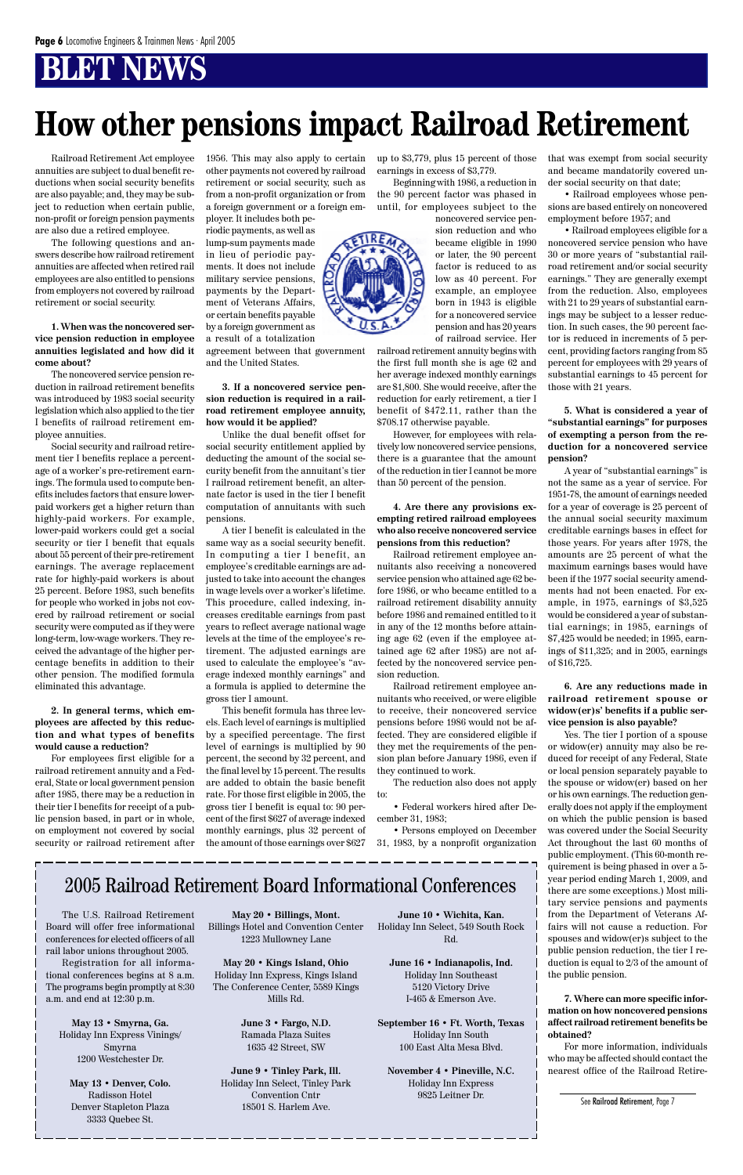#### 2005 Railroad Retirement Board Informational Conferences

The U.S. Railroad Retirement Board will offer free informational conferences for elected officers of all rail labor unions throughout 2005. Registration for all informational conferences begins at 8 a.m. The programs begin promptly at 8:30 a.m. and end at 12:30 p.m.

**May 13 • Smyrna, Ga.** Holiday Inn Express Vinings/ Smyrna 1200 Westchester Dr.

**May 13 • Denver, Colo.** Radisson Hotel Denver Stapleton Plaza 3333 Quebec St.

**May 20 • Billings, Mont.** Billings Hotel and Convention Center 1223 Mullowney Lane

**May 20 • Kings Island, Ohio** Holiday Inn Express, Kings Island The Conference Center, 5589 Kings Mills Rd.

> **June 3 • Fargo, N.D.** Ramada Plaza Suites 1635 42 Street, SW

**June 9 • Tinley Park, Ill.** Holiday Inn Select, Tinley Park Convention Cntr 18501 S. Harlem Ave.

**June 10 • Wichita, Kan.** Holiday Inn Select, 549 South Rock Rd.

**June 16 • Indianapolis, Ind.** Holiday Inn Southeast 5120 Victory Drive I-465 & Emerson Ave.

**September 16 • Ft. Worth, Texas** Holiday Inn South 100 East Alta Mesa Blvd.

**November 4 • Pineville, N.C.** Holiday Inn Express 9825 Leitner Dr.

Railroad Retirement Act employee annuities are subject to dual benefit reductions when social security benefits are also payable; and, they may be subject to reduction when certain public, non-profit or foreign pension payments are also due a retired employee.

The following questions and answers describe how railroad retirement annuities are affected when retired rail employees are also entitled to pensions from employers not covered by railroad retirement or social security.

**1. When was the noncovered service pension reduction in employee annuities legislated and how did it come about?**

The noncovered service pension reduction in railroad retirement benefits was introduced by 1983 social security legislation which also applied to the tier I benefits of railroad retirement employee annuities.

Social security and railroad retirement tier I benefits replace a percentage of a worker's pre-retirement earnings. The formula used to compute benefits includes factors that ensure lowerpaid workers get a higher return than highly-paid workers. For example, lower-paid workers could get a social security or tier I benefit that equals about 55 percent of their pre-retirement earnings. The average replacement rate for highly-paid workers is about 25 percent. Before 1983, such benefits for people who worked in jobs not covered by railroad retirement or social security were computed as if they were long-term, low-wage workers. They received the advantage of the higher percentage benefits in addition to their other pension. The modified formula eliminated this advantage.

**2. In general terms, which employees are affected by this reduction and what types of benefits would cause a reduction?**

For employees first eligible for a railroad retirement annuity and a Federal, State or local government pension after 1985, there may be a reduction in their tier I benefits for receipt of a public pension based, in part or in whole, on employment not covered by social security or railroad retirement after 1956. This may also apply to certain other payments not covered by railroad retirement or social security, such as from a non-profit organization or from a foreign government or a foreign employer. It includes both pe-

riodic payments, as well as lump-sum payments made in lieu of periodic payments. It does not include military service pensions, payments by the Department of Veterans Affairs, or certain benefits payable by a foreign government as a result of a totalization

agreement between that government and the United States.

**3. If a noncovered service pension reduction is required in a railroad retirement employee annuity, how would it be applied?**

Unlike the dual benefit offset for social security entitlement applied by deducting the amount of the social security benefit from the annuitant's tier I railroad retirement benefit, an alternate factor is used in the tier I benefit computation of annuitants with such pensions.

A tier I benefit is calculated in the same way as a social security benefit. In computing a tier I benefit, an employee's creditable earnings are adjusted to take into account the changes in wage levels over a worker's lifetime. This procedure, called indexing, increases creditable earnings from past years to reflect average national wage levels at the time of the employee's retirement. The adjusted earnings are used to calculate the employee's "average indexed monthly earnings" and a formula is applied to determine the gross tier I amount.

This benefit formula has three levels. Each level of earnings is multiplied by a specified percentage. The first level of earnings is multiplied by 90 percent, the second by 32 percent, and the final level by 15 percent. The results are added to obtain the basic benefit rate. For those first eligible in 2005, the gross tier I benefit is equal to: 90 percent of the first \$627 of average indexed monthly earnings, plus 32 percent of the amount of those earnings over \$627 up to \$3,779, plus 15 percent of those earnings in excess of \$3,779.

Beginning with 1986, a reduction in the 90 percent factor was phased in until, for employees subject to the

> noncovered service pension reduction and who became eligible in 1990 or later, the 90 percent factor is reduced to as low as 40 percent. For example, an employee born in 1943 is eligible for a noncovered service pension and has 20 years of railroad service. Her

railroad retirement annuity begins with the first full month she is age 62 and her average indexed monthly earnings are \$1,800. She would receive, after the reduction for early retirement, a tier I benefit of \$472.11, rather than the \$708.17 otherwise payable.

However, for employees with relatively low noncovered service pensions, there is a guarantee that the amount of the reduction in tier I cannot be more than 50 percent of the pension.

**4. Are there any provisions exempting retired railroad employees who also receive noncovered service pensions from this reduction?**

Railroad retirement employee annuitants also receiving a noncovered service pension who attained age 62 before 1986, or who became entitled to a railroad retirement disability annuity before 1986 and remained entitled to it in any of the 12 months before attaining age 62 (even if the employee attained age 62 after 1985) are not affected by the noncovered service pension reduction.

Railroad retirement employee annuitants who received, or were eligible to receive, their noncovered service pensions before 1986 would not be affected. They are considered eligible if they met the requirements of the pension plan before January 1986, even if they continued to work.

The reduction also does not apply to:

• Federal workers hired after December 31, 1983;

• Persons employed on December 31, 1983, by a nonprofit organization that was exempt from social security and became mandatorily covered under social security on that date;

• Railroad employees whose pensions are based entirely on noncovered employment before 1957; and

• Railroad employees eligible for a noncovered service pension who have 30 or more years of "substantial railroad retirement and/or social security earnings." They are generally exempt from the reduction. Also, employees with 21 to 29 years of substantial earnings may be subject to a lesser reduction. In such cases, the 90 percent factor is reduced in increments of 5 percent, providing factors ranging from 85 percent for employees with 29 years of substantial earnings to 45 percent for those with 21 years.

**5. What is considered a year of "substantial earnings" for purposes of exempting a person from the reduction for a noncovered service pension?**

A year of "substantial earnings" is not the same as a year of service. For 1951-78, the amount of earnings needed for a year of coverage is 25 percent of the annual social security maximum creditable earnings bases in effect for those years. For years after 1978, the amounts are 25 percent of what the maximum earnings bases would have been if the 1977 social security amendments had not been enacted. For example, in 1975, earnings of \$3,525 would be considered a year of substantial earnings; in 1985, earnings of \$7,425 would be needed; in 1995, earnings of \$11,325; and in 2005, earnings of \$16,725.

**6. Are any reductions made in railroad retirement spouse or widow(er)s' benefits if a public service pension is also payable?**

Yes. The tier I portion of a spouse or widow(er) annuity may also be reduced for receipt of any Federal, State or local pension separately payable to the spouse or widow(er) based on her or his own earnings. The reduction generally does not apply if the employment on which the public pension is based was covered under the Social Security Act throughout the last 60 months of public employment. (This 60-month requirement is being phased in over a 5 year period ending March 1, 2009, and there are some exceptions.) Most military service pensions and payments from the Department of Veterans Affairs will not cause a reduction. For spouses and widow(er)s subject to the public pension reduction, the tier I reduction is equal to 2/3 of the amount of the public pension.



**7. Where can more specific information on how noncovered pensions affect railroad retirement benefits be obtained?**

For more information, individuals who may be affected should contact the nearest office of the Railroad Retire-

# **How other pensions impact Railroad Retirement**

See Railroad Retirement, Page 7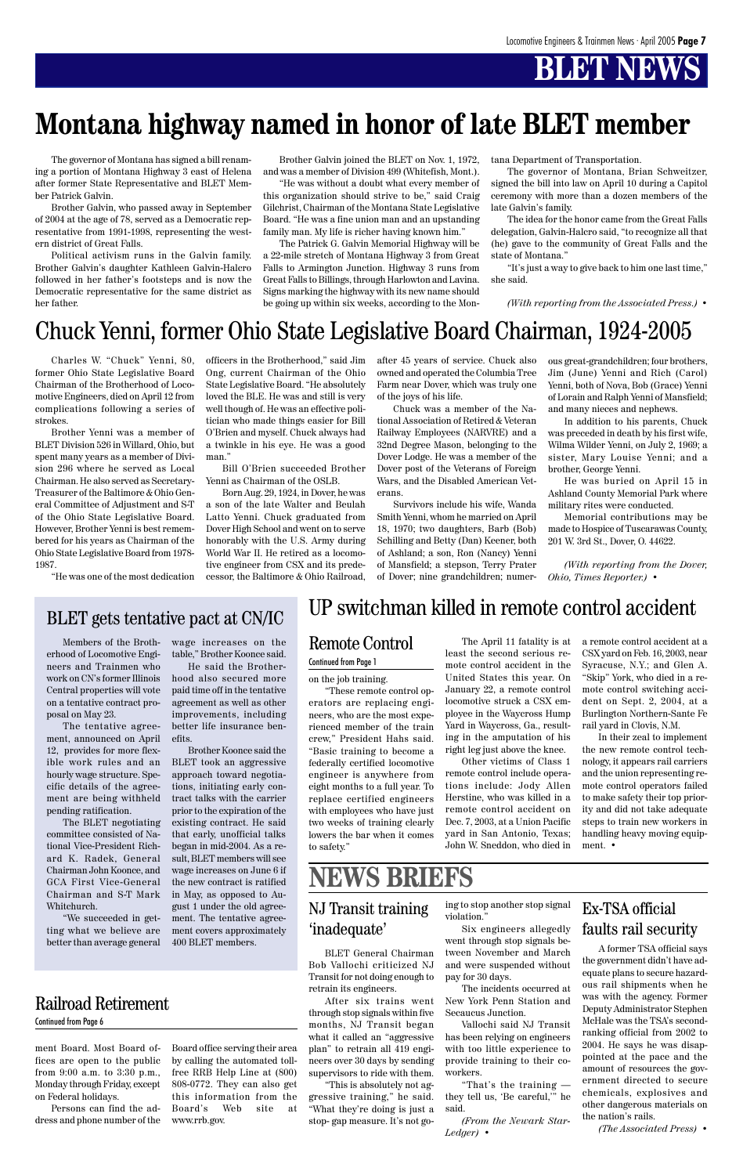ment Board. Most Board offices are open to the public from 9:00 a.m. to 3:30 p.m., Monday through Friday, except on Federal holidays.

Persons can find the address and phone number of the

The governor of Montana has signed a bill renaming a portion of Montana Highway 3 east of Helena after former State Representative and BLET Member Patrick Galvin.

Brother Galvin, who passed away in September of 2004 at the age of 78, served as a Democratic representative from 1991-1998, representing the western district of Great Falls.

Political activism runs in the Galvin family. Brother Galvin's daughter Kathleen Galvin-Halcro followed in her father's footsteps and is now the Democratic representative for the same district as her father.

Brother Galvin joined the BLET on Nov. 1, 1972, and was a member of Division 499 (Whitefish, Mont.).

"He was without a doubt what every member of this organization should strive to be," said Craig Gilchrist, Chairman of the Montana State Legislative Board. "He was a fine union man and an upstanding family man. My life is richer having known him."

The Patrick G. Galvin Memorial Highway will be a 22-mile stretch of Montana Highway 3 from Great Falls to Armington Junction. Highway 3 runs from Great Falls to Billings, through Harlowton and Lavina. Signs marking the highway with its new name should be going up within six weeks, according to the Mon-

#### Railroad Retirement

#### Continued from Page 6

tana Department of Transportation.

The governor of Montana, Brian Schweitzer, signed the bill into law on April 10 during a Capitol ceremony with more than a dozen members of the late Galvin's family.

The idea for the honor came from the Great Falls delegation, Galvin-Halcro said, "to recognize all that (he) gave to the community of Great Falls and the state of Montana."

"It's just a way to give back to him one last time," she said.

*(With reporting from the Associated Press.)* •

## **Montana highway named in honor of late BLET member**

Charles W. "Chuck" Yenni, 80, former Ohio State Legislative Board Chairman of the Brotherhood of Locomotive Engineers, died on April 12 from complications following a series of strokes.

Brother Yenni was a member of BLET Division 526 in Willard, Ohio, but spent many years as a member of Division 296 where he served as Local Chairman. He also served as Secretary-Treasurer of the Baltimore & Ohio General Committee of Adjustment and S-T of the Ohio State Legislative Board. However, Brother Yenni is best remembered for his years as Chairman of the Ohio State Legislative Board from 1978- 1987.

"He was one of the most dedication

officers in the Brotherhood," said Jim Ong, current Chairman of the Ohio State Legislative Board. "He absolutely loved the BLE. He was and still is very well though of. He was an effective politician who made things easier for Bill O'Brien and myself. Chuck always had a twinkle in his eye. He was a good man."

Bill O'Brien succeeded Brother Yenni as Chairman of the OSLB.

Born Aug. 29, 1924, in Dover, he was a son of the late Walter and Beulah Latto Yenni. Chuck graduated from Dover High School and went on to serve honorably with the U.S. Army during World War II. He retired as a locomotive engineer from CSX and its predecessor, the Baltimore & Ohio Railroad,

> The April 11 fatality is at least the second serious remote control accident in the United States this year. On January 22, a remote control locomotive struck a CSX employee in the Waycross Hump Yard in Waycross, Ga., resulting in the amputation of his right leg just above the knee.

after 45 years of service. Chuck also owned and operated the Columbia Tree Farm near Dover, which was truly one of the joys of his life.

Chuck was a member of the National Association of Retired & Veteran Railway Employees (NARVRE) and a 32nd Degree Mason, belonging to the Dover Lodge. He was a member of the Dover post of the Veterans of Foreign Wars, and the Disabled American Veterans.

Survivors include his wife, Wanda Smith Yenni, whom he married on April 18, 1970; two daughters, Barb (Bob) Schilling and Betty (Dan) Keener, both of Ashland; a son, Ron (Nancy) Yenni of Mansfield; a stepson, Terry Prater of Dover; nine grandchildren; numer-

### Chuck Yenni, former Ohio State Legislative Board Chairman, 1924-2005

ous great-grandchildren; four brothers, Jim (June) Yenni and Rich (Carol) Yenni, both of Nova, Bob (Grace) Yenni of Lorain and Ralph Yenni of Mansfield; and many nieces and nephews.

In addition to his parents, Chuck was preceded in death by his first wife, Wilma Wilder Yenni, on July 2, 1969; a sister, Mary Louise Yenni; and a brother, George Yenni.

He was buried on April 15 in Ashland County Memorial Park where military rites were conducted.

Memorial contributions may be made to Hospice of Tuscarawas County, 201 W. 3rd St., Dover, O. 44622.

*(With reporting from the Dover, Ohio, Times Reporter.)* •

Members of the Brotherhood of Locomotive Engineers and Trainmen who work on CN's former Illinois Central properties will vote on a tentative contract proposal on May 23.

The tentative agreement, announced on April 12, provides for more flexible work rules and an hourly wage structure. Specific details of the agreement are being withheld pending ratification.

The BLET negotiating committee consisted of National Vice-President Richard K. Radek, General

Chairman John Koonce, and GCA First Vice-General Chairman and S-T Mark Whitchurch.

"We succeeded in getting what we believe are better than average general wage increases on the table," Brother Koonce said.

He said the Brotherhood also secured more paid time off in the tentative agreement as well as other improvements, including better life insurance benefits.

Brother Koonce said the BLET took an aggressive approach toward negotiations, initiating early contract talks with the carrier prior to the expiration of the existing contract. He said that early, unofficial talks began in mid-2004. As a result, BLET members will see wage increases on June 6 if the new contract is ratified in May, as opposed to August 1 under the old agreement. The tentative agreement covers approximately 400 BLET members.

BLET gets tentative pact at CN/IC

#### Remote Control

#### Continued from Page 1

on the job training.

"These remote control operators are replacing engineers, who are the most experienced member of the train crew," President Hahs said. "Basic training to become a federally certified locomotive engineer is anywhere from eight months to a full year. To replace certified engineers with employees who have just two weeks of training clearly lowers the bar when it comes to safety."

Board office serving their area by calling the automated tollfree RRB Help Line at (800) 808-0772. They can also get this information from the Board's Web site at www.rrb.gov.

Other victims of Class 1 remote control include operations include: Jody Allen Herstine, who was killed in a remote control accident on Dec. 7, 2003, at a Union Pacific yard in San Antonio, Texas; John W. Sneddon, who died in a remote control accident at a CSX yard on Feb. 16, 2003, near Syracuse, N.Y.; and Glen A. "Skip" York, who died in a remote control switching accident on Sept. 2, 2004, at a Burlington Northern-Sante Fe rail yard in Clovis, N.M.

In their zeal to implement the new remote control technology, it appears rail carriers and the union representing remote control operators failed to make safety their top priority and did not take adequate steps to train new workers in handling heavy moving equipment. •

UP switchman killed in remote control accident

#### NJ Transit training 'inadequate'

## **NEWS BRIEFS**

BLET General Chairman Bob Vallochi criticized NJ Transit for not doing enough to retrain its engineers.

After six trains went through stop signals within five months, NJ Transit began what it called an "aggressive plan" to retrain all 419 engineers over 30 days by sending supervisors to ride with them.

"This is absolutely not aggressive training," he said. "What they're doing is just a stop- gap measure. It's not going to stop another stop signal violation."

Six engineers allegedly went through stop signals between November and March and were suspended without pay for 30 days.

The incidents occurred at New York Penn Station and Secaucus Junction.

Vallochi said NJ Transit has been relying on engineers with too little experience to provide training to their coworkers.

"That's the training they tell us, 'Be careful,'" he said.

*(From the Newark Star-Ledger)* •

A former TSA official says the government didn't have adequate plans to secure hazardous rail shipments when he was with the agency. Former Deputy Administrator Stephen McHale was the TSA's secondranking official from 2002 to 2004. He says he was disappointed at the pace and the amount of resources the government directed to secure chemicals, explosives and other dangerous materials on the nation's rails.

*(The Associated Press)* •

#### Ex-TSA official faults rail security